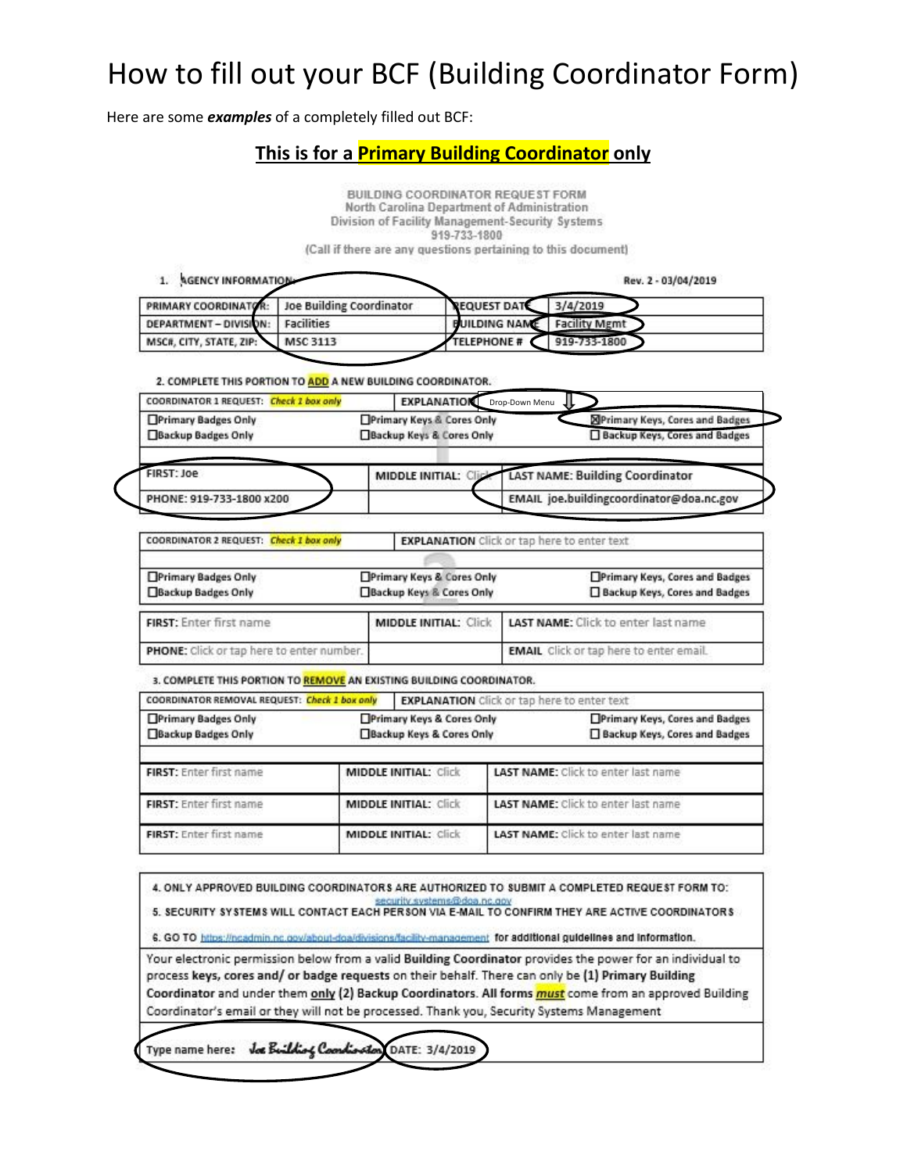Here are some *examples* of a completely filled out BCF:

### **This is for a Primary Building Coordinator only**

|                                                                      |                                 | BUILDING COORDINATOR REQUEST FORM<br>North Carolina Department of Administration<br>Division of Facility Management-Security Systems<br>919-733-1800<br>(Call if there are any questions pertaining to this document) |                                          |                                                                          |  |
|----------------------------------------------------------------------|---------------------------------|-----------------------------------------------------------------------------------------------------------------------------------------------------------------------------------------------------------------------|------------------------------------------|--------------------------------------------------------------------------|--|
| 1. AGENCY INFORMATION                                                |                                 |                                                                                                                                                                                                                       |                                          | Rev. 2 - 03/04/2019                                                      |  |
| PRIMARY COORDINATOR:                                                 | <b>Joe Building Coordinator</b> | <b>EQUEST DATE</b>                                                                                                                                                                                                    |                                          | 3/4/2019                                                                 |  |
| DEPARTMENT - DIVISION:                                               | <b>Facilities</b>               | <b>BUILDING NAME</b>                                                                                                                                                                                                  |                                          | <b>Facility Mgmt</b>                                                     |  |
| MSC#, CITY, STATE, ZIP:                                              | MSC 3113                        | <b>TELEPHONE #</b>                                                                                                                                                                                                    |                                          | 919-733-1800                                                             |  |
| 2. COMPLETE THIS PORTION TO ADD A NEW BUILDING COORDINATOR.          |                                 |                                                                                                                                                                                                                       |                                          |                                                                          |  |
| COORDINATOR 1 REQUEST: Check 1 box only                              |                                 | <b>EXPLANATION</b> Drop-Down Menu                                                                                                                                                                                     |                                          |                                                                          |  |
| Primary Badges Only<br>Backup Badges Only                            |                                 | Primary Keys & Cores Only<br>Backup Keys & Cores Only                                                                                                                                                                 |                                          | <b>X</b> Primary Keys, Cores and Badges<br>Backup Keys, Cores and Badges |  |
|                                                                      |                                 |                                                                                                                                                                                                                       |                                          |                                                                          |  |
| FIRST: Joe<br><b>MIDDLE INITIAL: Clip</b>                            |                                 |                                                                                                                                                                                                                       |                                          | <b>LAST NAME: Building Coordinator</b>                                   |  |
| PHONE: 919-733-1800 x200                                             |                                 |                                                                                                                                                                                                                       | EMAIL joe.buildingcoordinator@doa.nc.gov |                                                                          |  |
|                                                                      |                                 |                                                                                                                                                                                                                       |                                          |                                                                          |  |
| COORDINATOR 2 REQUEST: Check 1 box only                              |                                 | <b>EXPLANATION</b> Click or tap here to enter text                                                                                                                                                                    |                                          |                                                                          |  |
| Primary Badges Only                                                  |                                 | Primary Keys & Cores Only                                                                                                                                                                                             |                                          | Primary Keys, Cores and Badges                                           |  |
| Backup Badges Only                                                   |                                 | Backup Keys & Cores Only                                                                                                                                                                                              |                                          | Backup Keys, Cores and Badges                                            |  |
| FIRST: Enter first name                                              |                                 | <b>MIDDLE INITIAL: Click</b>                                                                                                                                                                                          |                                          | LAST NAME: Click to enter last name                                      |  |
| PHONE: Click or tap here to enter number.                            |                                 |                                                                                                                                                                                                                       |                                          | <b>EMAIL</b> Click or tap here to enter email.                           |  |
| 3. COMPLETE THIS PORTION TO REMOVE AN EXISTING BUILDING COORDINATOR. |                                 |                                                                                                                                                                                                                       |                                          |                                                                          |  |
| COORDINATOR REMOVAL REQUEST: Check 1 box only                        |                                 | <b>EXPLANATION</b> Click or tap here to enter text                                                                                                                                                                    |                                          |                                                                          |  |
| Primary Badges Only                                                  |                                 | Primary Keys & Cores Only                                                                                                                                                                                             |                                          | Primary Keys, Cores and Badges                                           |  |
| Backup Badges Only                                                   |                                 | Backup Keys & Cores Only                                                                                                                                                                                              |                                          | Backup Keys, Cores and Badges                                            |  |
| FIRST: Enter first name                                              |                                 | <b>MIDDLE INITIAL: Click</b>                                                                                                                                                                                          |                                          | <b>LAST NAME:</b> Click to enter last name                               |  |
| FIRST: Enter first name                                              |                                 | <b>MIDDLE INITIAL: Click</b>                                                                                                                                                                                          |                                          | <b>LAST NAME:</b> Click to enter last name                               |  |
| FIRST: Enter first name                                              |                                 |                                                                                                                                                                                                                       |                                          |                                                                          |  |

4. ONLY APPROVED BUILDING COORDINATORS ARE AUTHORIZED TO SUBMIT A COMPLETED REQUEST FORM TO: S. SECURITY SYSTEMS WILL CONTACT EACH PERSON VIA E-MAIL TO CONFIRM THEY ARE ACTIVE COORDINATORS

6. GO TO https://ncadmin.nc.gov/about-doa/divisions/facility-management for additional guidelines and information.

Your electronic permission below from a valid Building Coordinator provides the power for an individual to process keys, cores and/ or badge requests on their behalf. There can only be (1) Primary Building Coordinator and under them only (2) Backup Coordinators. All forms must come from an approved Building Coordinator's email or they will not be processed. Thank you, Security Systems Management

Type name here: Joe Building Countie DATE: 3/4/2019 A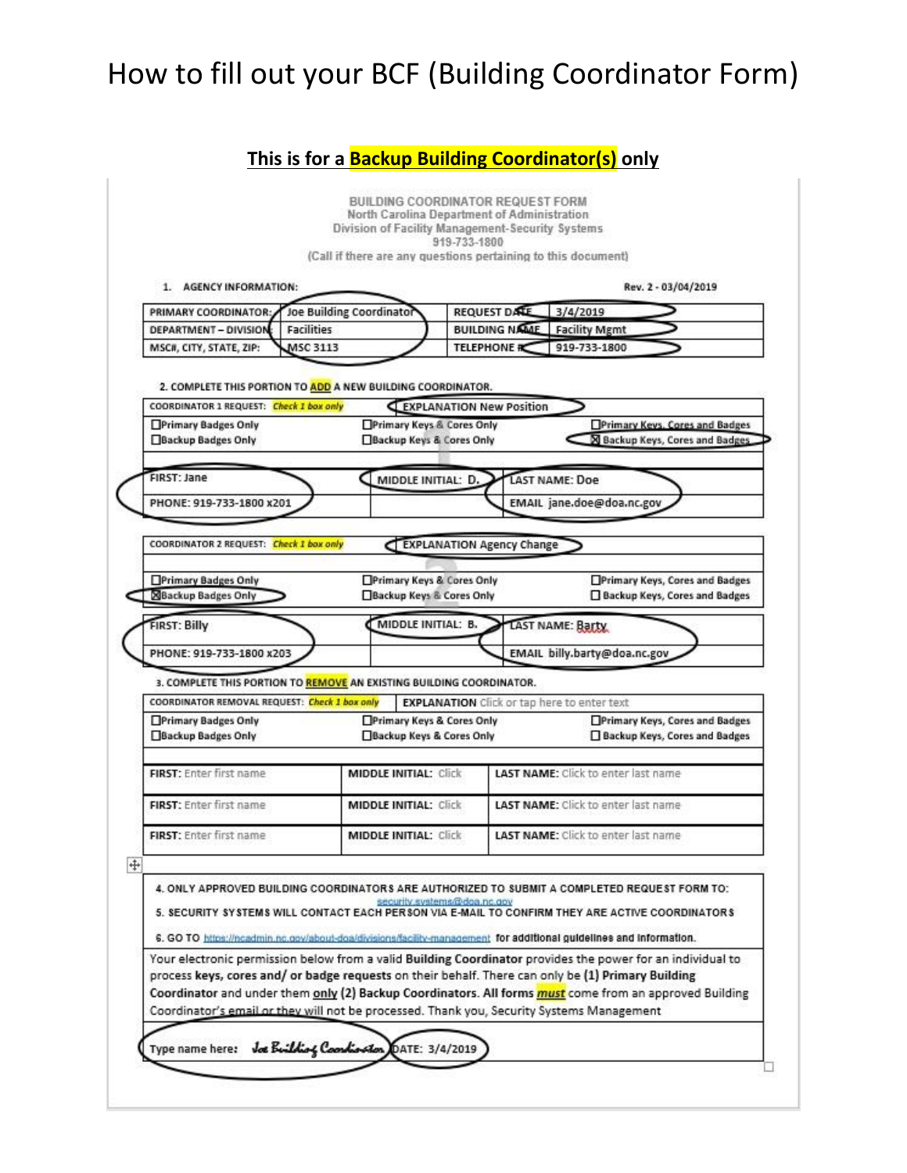### **This is for a Backup Building Coordinator(s) only**

|                                                                                                                                                       | 1. AGENCY INFORMATION:   |                                                       |                                                    |  |                                                         | Rev. 2 - 03/04/2019                                               |
|-------------------------------------------------------------------------------------------------------------------------------------------------------|--------------------------|-------------------------------------------------------|----------------------------------------------------|--|---------------------------------------------------------|-------------------------------------------------------------------|
| PRIMARY COORDINATOR:                                                                                                                                  | Joe Building Coordinator |                                                       | <b>REQUEST DATE</b>                                |  | 3/4/2019                                                |                                                                   |
| DEPARTMENT - DIVISION                                                                                                                                 | <b>Facilities</b>        |                                                       | <b>BUILDING NAME</b>                               |  | <b>Facility Mgmt</b>                                    |                                                                   |
| MSC#, CITY, STATE, ZIP:                                                                                                                               | <b>MSC 3113</b>          |                                                       | <b>TELEPHONE</b>                                   |  | 919-733-1800                                            |                                                                   |
| 2. COMPLETE THIS PORTION TO ADD A NEW BUILDING COORDINATOR.<br>COORDINATOR 1 REQUEST: Check 1 box only                                                |                          |                                                       | EXPLANATION New Position                           |  |                                                         |                                                                   |
| Primary Badges Only<br>Backup Badges Only                                                                                                             |                          | Primary Keys & Cores Only<br>Backup Keys & Cores Only |                                                    |  |                                                         | Primary Keys, Cores and Badges<br>S Backup Keys, Cores and Badges |
| FIRST: Jane                                                                                                                                           |                          | MIDDLE INITIAL: D.                                    |                                                    |  | LAST NAME: Doe                                          |                                                                   |
| PHONE: 919-733-1800 x201                                                                                                                              |                          |                                                       |                                                    |  | EMAIL jane.doe@doa.nc.gov                               |                                                                   |
| COORDINATOR 2 REQUEST: Check 1 box only                                                                                                               |                          |                                                       | EXPLANATION Agency Change                          |  |                                                         |                                                                   |
| <b>NBackup Badges Only</b><br><b>FIRST: Billy</b><br>PHONE: 919-733-1800 x203<br>3. COMPLETE THIS PORTION TO REMOVE AN EXISTING BUILDING COORDINATOR. |                          | Backup Keys & Cores Only<br>MIDDLE INITIAL: B.        |                                                    |  | <b>LAST NAME: Barty</b><br>EMAIL billy.barty@doa.nc.gov | Backup Keys, Cores and Badges                                     |
|                                                                                                                                                       |                          |                                                       |                                                    |  |                                                         |                                                                   |
|                                                                                                                                                       |                          |                                                       |                                                    |  |                                                         |                                                                   |
| COORDINATOR REMOVAL REQUEST: Check 1 box only<br>Primary Badges Only<br>Backup Badges Only                                                            |                          | Primary Keys & Cores Only<br>Backup Keys & Cores Only | <b>EXPLANATION</b> Click or tap here to enter text |  |                                                         | Primary Keys, Cores and Badges<br>Backup Keys, Cores and Badges   |
| FIRST: Enter first name                                                                                                                               |                          | <b>MIDDLE INITIAL: Click</b>                          |                                                    |  | <b>LAST NAME:</b> Click to enter last name              |                                                                   |
| FIRST: Enter first name                                                                                                                               |                          | <b>MIDDLE INITIAL: Click</b>                          |                                                    |  | <b>LAST NAME:</b> Click to enter last name              |                                                                   |
| <b>FIRST:</b> Enter first name                                                                                                                        |                          | <b>MIDDLE INITIAL: Click</b>                          |                                                    |  | <b>LAST NAME:</b> Click to enter last name              |                                                                   |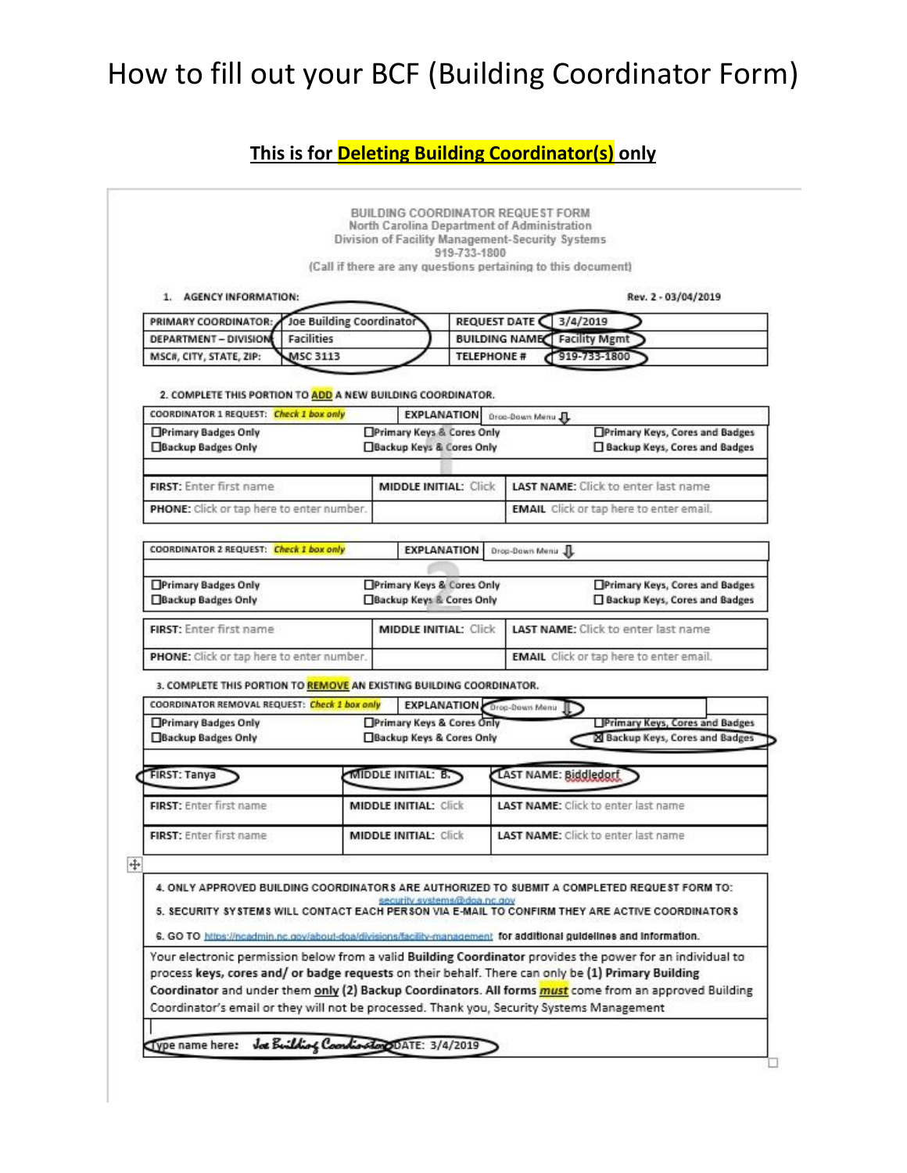### **This is for Deleting Building Coordinator(s) only**

| PRIMARY COORDINATOR:<br><b>DEPARTMENT - DIVISION</b><br><b>Facilities</b>                                                                                                                                        |                              |                              |  |                                                     |                                                |  |
|------------------------------------------------------------------------------------------------------------------------------------------------------------------------------------------------------------------|------------------------------|------------------------------|--|-----------------------------------------------------|------------------------------------------------|--|
|                                                                                                                                                                                                                  |                              | Joe Building Coordinator     |  | REQUEST DATE<br>3/4/2019                            |                                                |  |
|                                                                                                                                                                                                                  |                              |                              |  | <b>BUILDING NAME Facility Mgmt</b>                  |                                                |  |
| MSC#, CITY, STATE, ZIP:<br>MSC 3113                                                                                                                                                                              |                              |                              |  | 919-733-1800<br><b>TELEPHONE #</b>                  |                                                |  |
|                                                                                                                                                                                                                  |                              |                              |  |                                                     |                                                |  |
| 2. COMPLETE THIS PORTION TO ADD A NEW BUILDING COORDINATOR.<br>COORDINATOR 1 REQUEST: Check 1 box only                                                                                                           |                              | <b>EXPLANATION</b>           |  |                                                     |                                                |  |
| <b>Primary Badges Only</b>                                                                                                                                                                                       |                              | Primary Keys & Cores Only    |  | Droc-Down Menu JL<br>Primary Keys, Cores and Badges |                                                |  |
| Backup Badges Only                                                                                                                                                                                               |                              | Backup Keys & Cores Only     |  |                                                     | Backup Keys, Cores and Badges                  |  |
|                                                                                                                                                                                                                  |                              |                              |  |                                                     |                                                |  |
| FIRST: Enter first name                                                                                                                                                                                          |                              | <b>MIDDLE INITIAL: Click</b> |  |                                                     | LAST NAME: Click to enter last name            |  |
| PHONE: Click or tap here to enter number.                                                                                                                                                                        |                              |                              |  |                                                     | <b>EMAIL</b> Click or tap here to enter email. |  |
|                                                                                                                                                                                                                  |                              |                              |  |                                                     |                                                |  |
| COORDINATOR 2 REQUEST: Check 1 box only                                                                                                                                                                          |                              | <b>EXPLANATION</b>           |  | Drop-Down Menu JL                                   |                                                |  |
|                                                                                                                                                                                                                  |                              |                              |  |                                                     |                                                |  |
| Primary Badges Only<br>Backup Badges Only                                                                                                                                                                        |                              | Primary Keys & Cores Only    |  |                                                     | Primary Keys, Cores and Badges                 |  |
|                                                                                                                                                                                                                  |                              | Backup Keys & Cores Only     |  |                                                     | Backup Keys, Cores and Badges                  |  |
| FIRST: Enter first name                                                                                                                                                                                          |                              | <b>MIDDLE INITIAL: Click</b> |  |                                                     | <b>LAST NAME:</b> Click to enter last name     |  |
| PHONE: Click or tap here to enter number.                                                                                                                                                                        |                              |                              |  |                                                     | <b>EMAIL</b> Click or tap here to enter email. |  |
|                                                                                                                                                                                                                  |                              |                              |  |                                                     |                                                |  |
| 3. COMPLETE THIS PORTION TO REMOVE AN EXISTING BUILDING COORDINATOR.                                                                                                                                             |                              |                              |  |                                                     |                                                |  |
| COORDINATOR REMOVAL REQUEST: Check 1 box only<br>Primary Badges Only                                                                                                                                             |                              | Primary Keys & Cores Only    |  | <b>EXPLANATION</b> Drop-Bown Menu                   | Primary Keys, Cores and Badges                 |  |
| Backup Badges Only                                                                                                                                                                                               |                              | Backup Keys & Cores Only     |  |                                                     | 20 Backup Keys, Cores and Badges               |  |
|                                                                                                                                                                                                                  |                              |                              |  |                                                     |                                                |  |
| <b>FIRST: Tanya</b>                                                                                                                                                                                              |                              | <b>MIDDLE INITIAL: B.</b>    |  | LAST NAME: Biddledorf                               |                                                |  |
|                                                                                                                                                                                                                  |                              |                              |  | <b>LAST NAME:</b> Click to enter last name          |                                                |  |
| FIRST: Enter first name                                                                                                                                                                                          |                              | <b>MIDDLE INITIAL: Click</b> |  |                                                     |                                                |  |
| FIRST: Enter first name                                                                                                                                                                                          | <b>MIDDLE INITIAL: Click</b> |                              |  | <b>LAST NAME:</b> Click to enter last name          |                                                |  |
|                                                                                                                                                                                                                  |                              |                              |  |                                                     |                                                |  |
|                                                                                                                                                                                                                  |                              |                              |  |                                                     |                                                |  |
| 4. ONLY APPROVED BUILDING COORDINATORS ARE AUTHORIZED TO SUBMIT A COMPLETED REQUEST FORM TO:                                                                                                                     |                              |                              |  |                                                     |                                                |  |
| 5. SECURITY SYSTEMS WILL CONTACT EACH PERSON VIA E-MAIL TO CONFIRM THEY ARE ACTIVE COORDINATORS                                                                                                                  |                              | security systems@dga.nc.gov  |  |                                                     |                                                |  |
|                                                                                                                                                                                                                  |                              |                              |  |                                                     |                                                |  |
| 6. GO TO https://ncadmin.nc.gov/about-doa/divisions/facility-management for additional guidelines and information.                                                                                               |                              |                              |  |                                                     |                                                |  |
| Your electronic permission below from a valid Building Coordinator provides the power for an individual to<br>process keys, cores and/ or badge requests on their behalf. There can only be (1) Primary Building |                              |                              |  |                                                     |                                                |  |
|                                                                                                                                                                                                                  |                              |                              |  |                                                     |                                                |  |
| Coordinator and under them only (2) Backup Coordinators. All forms <i>must</i> come from an approved Building                                                                                                    |                              |                              |  |                                                     |                                                |  |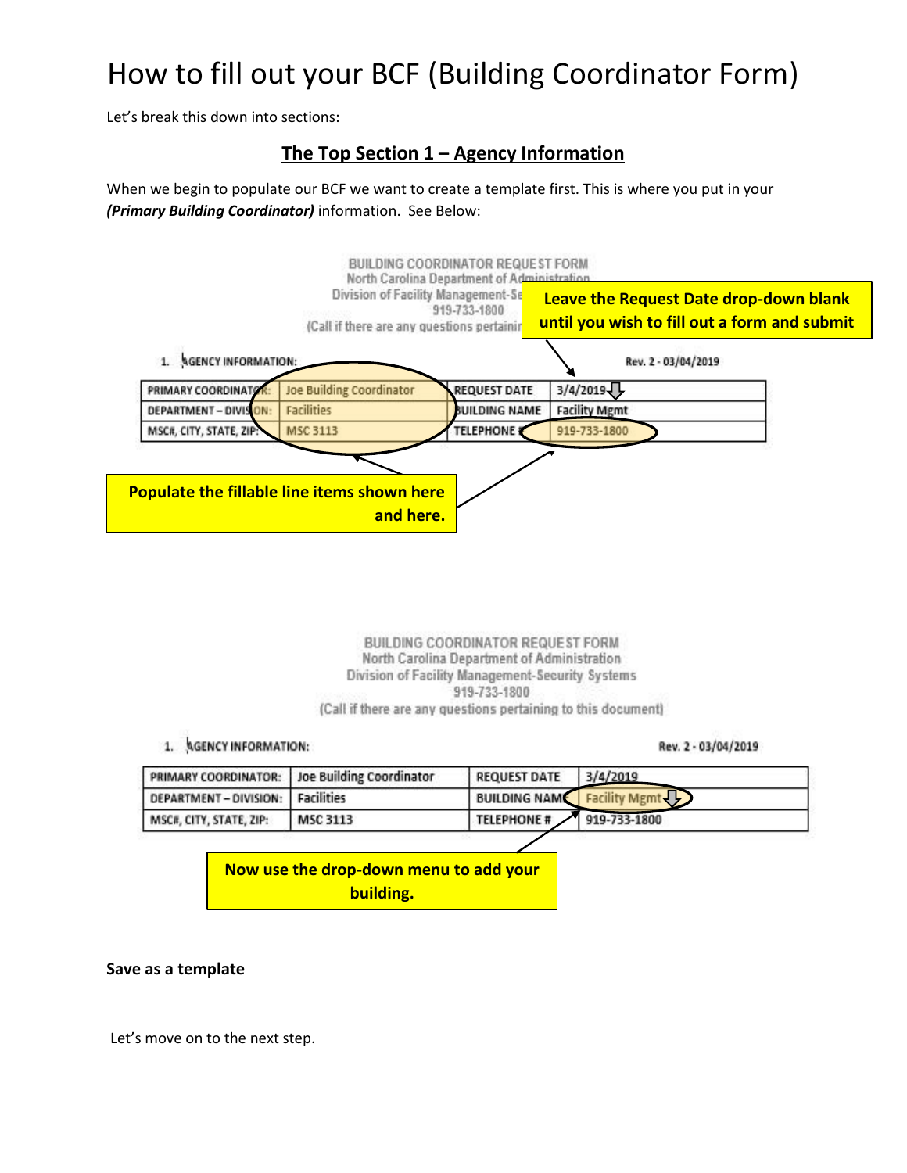Let's break this down into sections:

### **The Top Section 1 – Agency Information**

When we begin to populate our BCF we want to create a template first. This is where you put in your *(Primary Building Coordinator)* information. See Below:

| 1. AGENCY INFORMATION:  | (Call if there are any questions pertainin                      | 919-733-1800         | until you wish to fill out a form and submit<br>Rev. 2 - 03/04/2019 |  |
|-------------------------|-----------------------------------------------------------------|----------------------|---------------------------------------------------------------------|--|
| PRIMARY COORDINATO      | <b>Joe Building Coordinator</b>                                 | <b>REQUEST DATE</b>  | 3/4/2019                                                            |  |
| DEPARTMENT - DIVISION:  | Facilities                                                      | <b>BUILDING NAME</b> | <b>Facility Mgmt</b>                                                |  |
| MSC#, CITY, STATE, ZIP: | <b>MSC 3113</b>                                                 | <b>TELEPHONE</b>     | 919-733-1800                                                        |  |
|                         | <b>Populate the fillable line items shown here</b><br>and here. |                      |                                                                     |  |

BUILDING COORDINATOR REQUEST FORM North Carolina Department of Administration Division of Facility Management-Security Systems 919-733-1800

(Call if there are any questions pertaining to this document)

#### 1. AGENCY INFORMATION:

Rev. 2 - 03/04/2019

|                                 | PRIMARY COORDINATOR: Joe Building Coordinator | <b>REQUEST DATE</b>      | 3/4/2019                               |  |  |  |
|---------------------------------|-----------------------------------------------|--------------------------|----------------------------------------|--|--|--|
| DEPARTMENT-DIVISION: Facilities |                                               |                          | <b>BUILDING NAME Facility Mgmt (1)</b> |  |  |  |
| MSC#, CITY, STATE, ZIP:         | MSC 3113                                      | TELEPHONE # 919-733-1800 |                                        |  |  |  |
|                                 |                                               |                          |                                        |  |  |  |

**Now use the drop-down menu to add your building.**

#### **Save as a template**

Let's move on to the next step.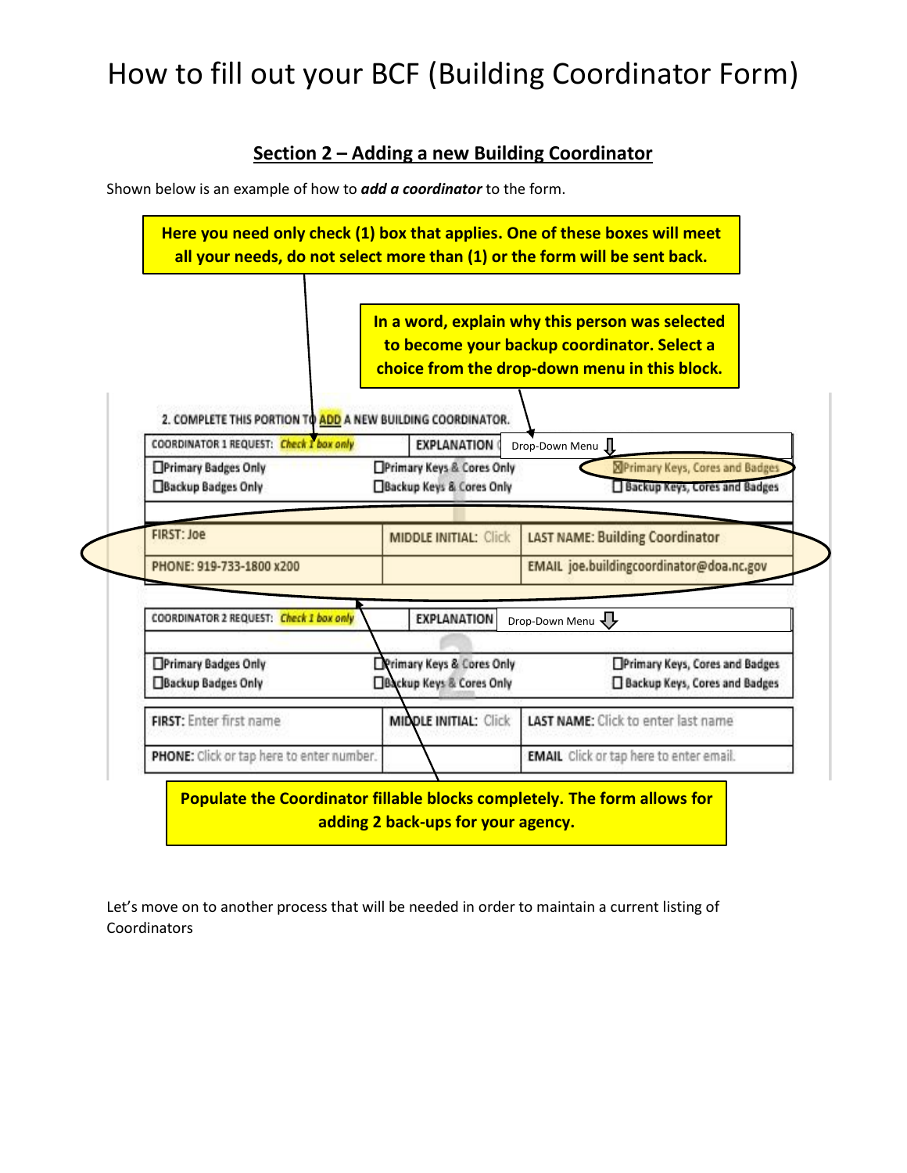### **Section 2 – Adding a new Building Coordinator**

Shown below is an example of how to *add a coordinator* to the form.



Let's move on to another process that will be needed in order to maintain a current listing of **Coordinators**